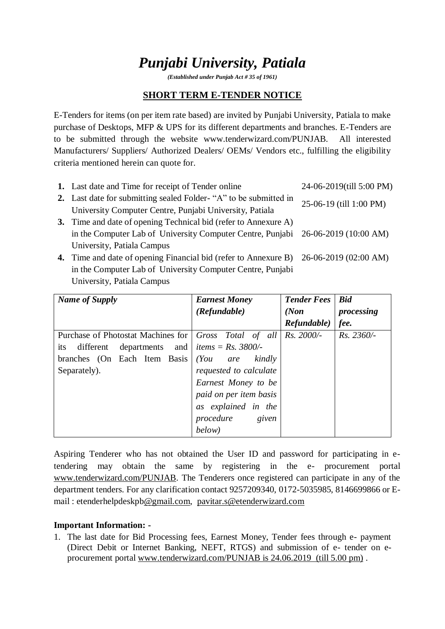# *Punjabi University, Patiala*

*(Established under Punjab Act # 35 of 1961)*

### **SHORT TERM E-TENDER NOTICE**

E-Tenders for items (on per item rate based) are invited by Punjabi University, Patiala to make purchase of Desktops, MFP & UPS for its different departments and branches. E-Tenders are to be submitted through the website www.tenderwizard.com/PUNJAB. All interested Manufacturers/ Suppliers/ Authorized Dealers/ OEMs/ Vendors etc., fulfilling the eligibility criteria mentioned herein can quote for.

| 1. Last date and Time for receipt of Tender online                                    | 24-06-2019(till 5:00 PM) |
|---------------------------------------------------------------------------------------|--------------------------|
| 2. Last date for submitting sealed Folder- "A" to be submitted in                     | 25-06-19 (till 1:00 PM)  |
| University Computer Centre, Punjabi University, Patiala                               |                          |
| 3. Time and date of opening Technical bid (refer to Annexure A)                       |                          |
| in the Computer Lab of University Computer Centre, Punjabi 26-06-2019 (10:00 AM)      |                          |
| University, Patiala Campus                                                            |                          |
| 4. Time and date of opening Financial bid (refer to Annexure B) 26-06-2019 (02:00 AM) |                          |
| in the Computer Lab of University Computer Centre, Punjabi                            |                          |
| University, Patiala Campus                                                            |                          |

| <b>Name of Supply</b>                  | <b>Earnest Money</b>        | <b>Tender Fees</b> | <b>Bid</b>   |  |
|----------------------------------------|-----------------------------|--------------------|--------------|--|
|                                        | (Refundable)                | (Non)              | processing   |  |
|                                        |                             | Refundable)        | fee.         |  |
| Purchase of Photostat Machines for     | Gross Total of all          | Rs. 2000/-         | $Rs. 2360/-$ |  |
| departments<br>and<br>different<br>its | <i>items</i> = $Rs. 3800/-$ |                    |              |  |
| branches (On Each Item Basis           | (You<br>kindly<br>are       |                    |              |  |
| Separately).                           | requested to calculate      |                    |              |  |
|                                        | Earnest Money to be         |                    |              |  |
|                                        | paid on per item basis      |                    |              |  |
|                                        | as explained in the         |                    |              |  |
|                                        | procedure<br>given          |                    |              |  |
|                                        | below)                      |                    |              |  |

Aspiring Tenderer who has not obtained the User ID and password for participating in etendering may obtain the same by registering in the e- procurement portal [www.tenderwizard.com/PUNJAB.](http://www.tenderwizard.com/PUNJAB) The Tenderers once registered can participate in any of the department tenders. For any clarification contact 9257209340, 0172-5035985, 8146699866 or Email : etenderhelpdeskp[b@gmail.com,](mailto:@gmail.com) [pavitar.s@etenderwizard.com](mailto:pavitar.s@etenderwizard.com)

#### **Important Information: -**

1. The last date for Bid Processing fees, Earnest Money, Tender fees through e- payment (Direct Debit or Internet Banking, NEFT, RTGS) and submission of e- tender on eprocurement portal [www.tenderwizard.com/PUNJAB is 24.06.2019](http://www.tenderwizard.com/PUNJAB%20is%2024.06.2019) (till 5.00 pm) .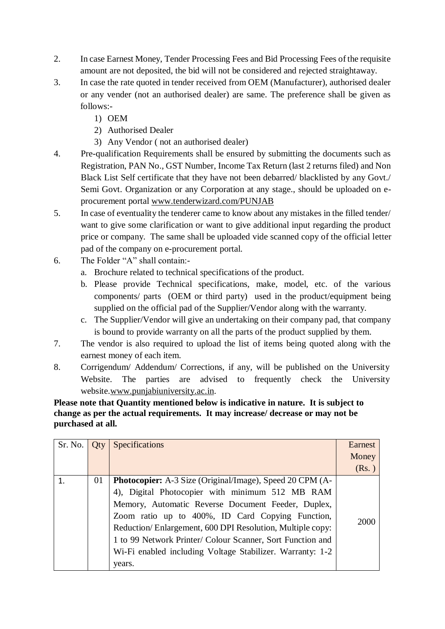- 2. In case Earnest Money, Tender Processing Fees and Bid Processing Fees of the requisite amount are not deposited, the bid will not be considered and rejected straightaway.
- 3. In case the rate quoted in tender received from OEM (Manufacturer), authorised dealer or any vender (not an authorised dealer) are same. The preference shall be given as follows:-
	- 1) OEM
	- 2) Authorised Dealer
	- 3) Any Vendor ( not an authorised dealer)
- 4. Pre-qualification Requirements shall be ensured by submitting the documents such as Registration, PAN No., GST Number, Income Tax Return (last 2 returns filed) and Non Black List Self certificate that they have not been debarred/ blacklisted by any Govt./ Semi Govt. Organization or any Corporation at any stage., should be uploaded on eprocurement portal [www.tenderwizard.com/PUNJAB](http://www.tenderwizard.com/PUNJAB)
- 5. In case of eventuality the tenderer came to know about any mistakes in the filled tender/ want to give some clarification or want to give additional input regarding the product price or company. The same shall be uploaded vide scanned copy of the official letter pad of the company on e-procurement portal.
- 6. The Folder "A" shall contain:
	- a. Brochure related to technical specifications of the product.
	- b. Please provide Technical specifications, make, model, etc. of the various components/ parts (OEM or third party) used in the product/equipment being supplied on the official pad of the Supplier/Vendor along with the warranty.
	- c. The Supplier/Vendor will give an undertaking on their company pad, that company is bound to provide warranty on all the parts of the product supplied by them.
- 7. The vendor is also required to upload the list of items being quoted along with the earnest money of each item.
- 8. Corrigendum/ Addendum/ Corrections, if any, will be published on the University Website. The parties are advised to frequently check the University website[.www.punjabiuniversity.ac.in.](http://www.punjabiuniversity.ac.in/)

**Please note that Quantity mentioned below is indicative in nature. It is subject to change as per the actual requirements. It may increase/ decrease or may not be purchased at all.**

| Sr. No. | <b>Oty</b> | Specifications                                                                                                                                                                                                                                                                                                                                                                                                                 | Earnest<br>Money |
|---------|------------|--------------------------------------------------------------------------------------------------------------------------------------------------------------------------------------------------------------------------------------------------------------------------------------------------------------------------------------------------------------------------------------------------------------------------------|------------------|
|         |            |                                                                                                                                                                                                                                                                                                                                                                                                                                | (Rs.)            |
|         | 01         | <b>Photocopier:</b> A-3 Size (Original/Image), Speed 20 CPM (A-<br>4), Digital Photocopier with minimum 512 MB RAM<br>Memory, Automatic Reverse Document Feeder, Duplex,<br>Zoom ratio up to 400%, ID Card Copying Function,<br>Reduction/Enlargement, 600 DPI Resolution, Multiple copy:<br>1 to 99 Network Printer/ Colour Scanner, Sort Function and<br>Wi-Fi enabled including Voltage Stabilizer. Warranty: 1-2<br>years. | 2000             |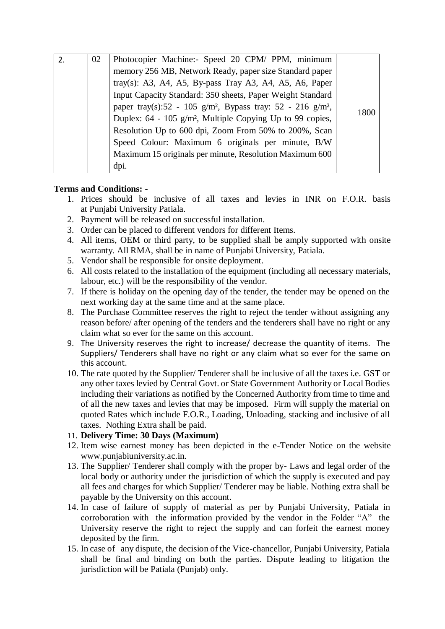| $\mathcal{P}$ | 02 | Photocopier Machine:- Speed 20 CPM/ PPM, minimum                                   |      |
|---------------|----|------------------------------------------------------------------------------------|------|
|               |    | memory 256 MB, Network Ready, paper size Standard paper                            |      |
|               |    | tray(s): A3, A4, A5, By-pass Tray A3, A4, A5, A6, Paper                            |      |
|               |    | Input Capacity Standard: 350 sheets, Paper Weight Standard                         |      |
|               |    | paper tray(s):52 - 105 g/m <sup>2</sup> , Bypass tray: 52 - 216 g/m <sup>2</sup> , |      |
|               |    | Duplex: 64 - 105 g/m <sup>2</sup> , Multiple Copying Up to 99 copies,              | 1800 |
|               |    | Resolution Up to 600 dpi, Zoom From 50% to 200%, Scan                              |      |
|               |    | Speed Colour: Maximum 6 originals per minute, B/W                                  |      |
|               |    | Maximum 15 originals per minute, Resolution Maximum 600                            |      |
|               |    | dpi.                                                                               |      |

#### **Terms and Conditions: -**

- 1. Prices should be inclusive of all taxes and levies in INR on F.O.R. basis at Punjabi University Patiala.
- 2. Payment will be released on successful installation.
- 3. Order can be placed to different vendors for different Items.
- 4. All items, OEM or third party, to be supplied shall be amply supported with onsite warranty. All RMA, shall be in name of Punjabi University, Patiala.
- 5. Vendor shall be responsible for onsite deployment.
- 6. All costs related to the installation of the equipment (including all necessary materials, labour, etc.) will be the responsibility of the vendor.
- 7. If there is holiday on the opening day of the tender, the tender may be opened on the next working day at the same time and at the same place.
- 8. The Purchase Committee reserves the right to reject the tender without assigning any reason before/ after opening of the tenders and the tenderers shall have no right or any claim what so ever for the same on this account.
- 9. The University reserves the right to increase/ decrease the quantity of items. The Suppliers/ Tenderers shall have no right or any claim what so ever for the same on this account.
- 10. The rate quoted by the Supplier/ Tenderer shall be inclusive of all the taxes i.e. GST or any other taxes levied by Central Govt. or State Government Authority or Local Bodies including their variations as notified by the Concerned Authority from time to time and of all the new taxes and levies that may be imposed. Firm will supply the material on quoted Rates which include F.O.R., Loading, Unloading, stacking and inclusive of all taxes. Nothing Extra shall be paid.

#### 11. **Delivery Time: 30 Days (Maximum)**

- 12. Item wise earnest money has been depicted in the e-Tender Notice on the website www.punjabiuniversity.ac.in.
- 13. The Supplier/ Tenderer shall comply with the proper by- Laws and legal order of the local body or authority under the jurisdiction of which the supply is executed and pay all fees and charges for which Supplier/ Tenderer may be liable. Nothing extra shall be payable by the University on this account.
- 14. In case of failure of supply of material as per by Punjabi University, Patiala in corroboration with the information provided by the vendor in the Folder "A" the University reserve the right to reject the supply and can forfeit the earnest money deposited by the firm.
- 15. In case of any dispute, the decision of the Vice-chancellor, Punjabi University, Patiala shall be final and binding on both the parties. Dispute leading to litigation the jurisdiction will be Patiala (Punjab) only.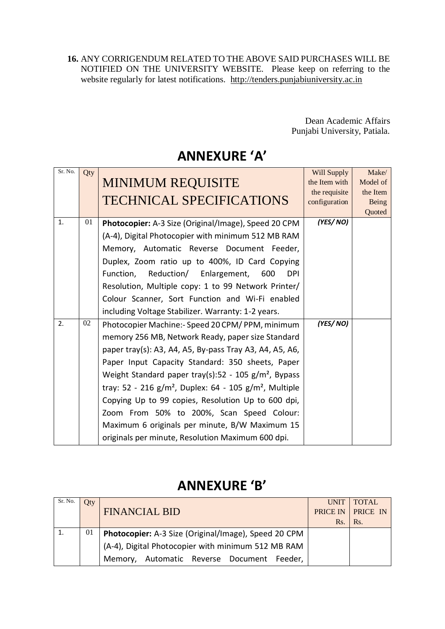**16.** ANY CORRIGENDUM RELATED TO THE ABOVE SAID PURCHASES WILL BE NOTIFIED ON THE UNIVERSITY WEBSITE. Please keep on referring to the website regularly for latest notifications. [http://tenders.punjabiuniversity.ac.in](http://tenders.punjabiuniversity.ac.in/)

> Dean Academic Affairs Punjabi University, Patiala.

## **ANNEXURE 'A'**

| Sr. No. | Qty | <b>MINIMUM REQUISITE</b><br><b>TECHNICAL SPECIFICATIONS</b>                                                                                                                                                                                                                                                                                                                                                                                                                                                                                                                 | <b>Will Supply</b><br>the Item with<br>the requisite<br>configuration | Make/<br>Model of<br>the Item<br>Being<br>Quoted |
|---------|-----|-----------------------------------------------------------------------------------------------------------------------------------------------------------------------------------------------------------------------------------------------------------------------------------------------------------------------------------------------------------------------------------------------------------------------------------------------------------------------------------------------------------------------------------------------------------------------------|-----------------------------------------------------------------------|--------------------------------------------------|
| 1.      | 01  | Photocopier: A-3 Size (Original/Image), Speed 20 CPM<br>(A-4), Digital Photocopier with minimum 512 MB RAM<br>Memory, Automatic Reverse Document Feeder,<br>Duplex, Zoom ratio up to 400%, ID Card Copying<br>Function,<br>Reduction/ Enlargement, 600<br><b>DPI</b><br>Resolution, Multiple copy: 1 to 99 Network Printer/<br>Colour Scanner, Sort Function and Wi-Fi enabled<br>including Voltage Stabilizer. Warranty: 1-2 years.                                                                                                                                        | (YES/NO)                                                              |                                                  |
| 2.      | 02  | Photocopier Machine:- Speed 20 CPM/ PPM, minimum<br>memory 256 MB, Network Ready, paper size Standard<br>paper tray(s): A3, A4, A5, By-pass Tray A3, A4, A5, A6,<br>Paper Input Capacity Standard: 350 sheets, Paper<br>Weight Standard paper tray(s):52 - 105 $g/m^2$ , Bypass<br>tray: 52 - 216 g/m <sup>2</sup> , Duplex: 64 - 105 g/m <sup>2</sup> , Multiple<br>Copying Up to 99 copies, Resolution Up to 600 dpi,<br>Zoom From 50% to 200%, Scan Speed Colour:<br>Maximum 6 originals per minute, B/W Maximum 15<br>originals per minute, Resolution Maximum 600 dpi. | (YES/NO)                                                              |                                                  |

### **ANNEXURE 'B'**

| Sr. No. | Qty |                                                      | UNIT | <b>TOTAL</b>             |
|---------|-----|------------------------------------------------------|------|--------------------------|
|         |     | <b>FINANCIAL BID</b>                                 |      | <b>PRICE IN PRICE IN</b> |
|         |     |                                                      | Rs.  | Rs.                      |
|         | 01  | Photocopier: A-3 Size (Original/Image), Speed 20 CPM |      |                          |
|         |     | (A-4), Digital Photocopier with minimum 512 MB RAM   |      |                          |
|         |     | Memory, Automatic Reverse Document Feeder,           |      |                          |